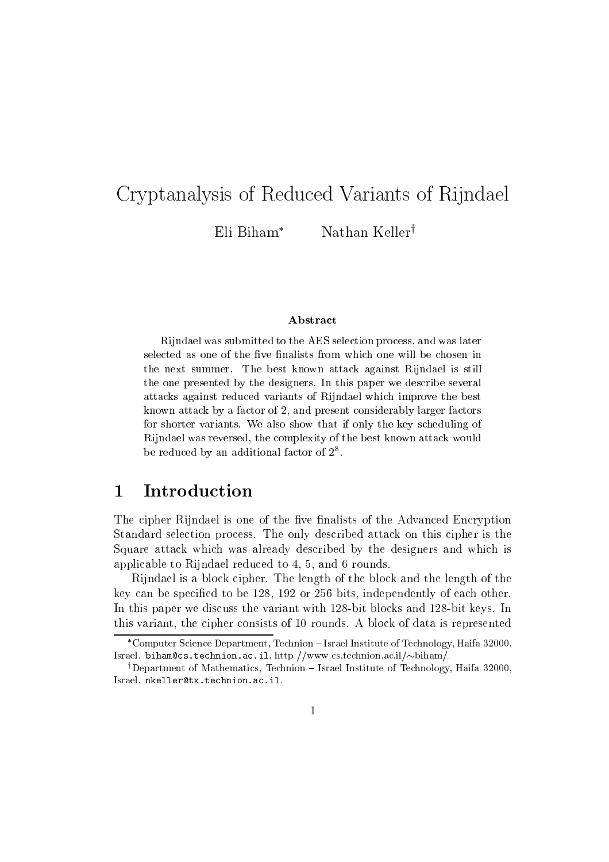# Cryptanalysis of Reduced Variants of Rijndael

Eli Biham<sup>\*</sup> Nathan Keller<sup>†</sup>

#### Abstract

Rijndael was submitted to the AES selection process, and was later selected as one of the five finalists from which one will be chosen in the next summer. The best known attack against Rijndael is still the one presented by the designers. In this paper we describe several attacks against reduced variants of Rijndael which improve the best known attack by a factor of 2, and present considerably larger factors for shorter variants. We also show that if only the key scheduling of Rijndael was reversed, the complexity of the best known attack would be reduced by an additional factor of  $2\degree$ .

## 1 Introduction

The cipher Rijndael is one of the five finalists of the Advanced Encryption Standard selection process. The only described attack on this cipher is the Square attack which was already described by the designers and which is applicable to Rijndael reduced to 4, 5, and 6 rounds.

Rijndael is a block cipher. The length of the block and the length of the key can be specied to be 128, 192 or 256 bits, independently of each other. In this paper we discuss the variant with 128-bit blocks and 128-bit keys. In this variant, the cipher consists of 10 rounds. A block of data is represented

Computer Science Department, Technion { Israel Institute of Technology, Haifa 32000,Israel. biham@cs.technion.ac.il, http://www.cs.technion.ac.il/ $\sim$ biham/.

<sup>&</sup>lt;sup>†</sup>Department of Mathematics, Technion – Israel Institute of Technology, Haifa 32000,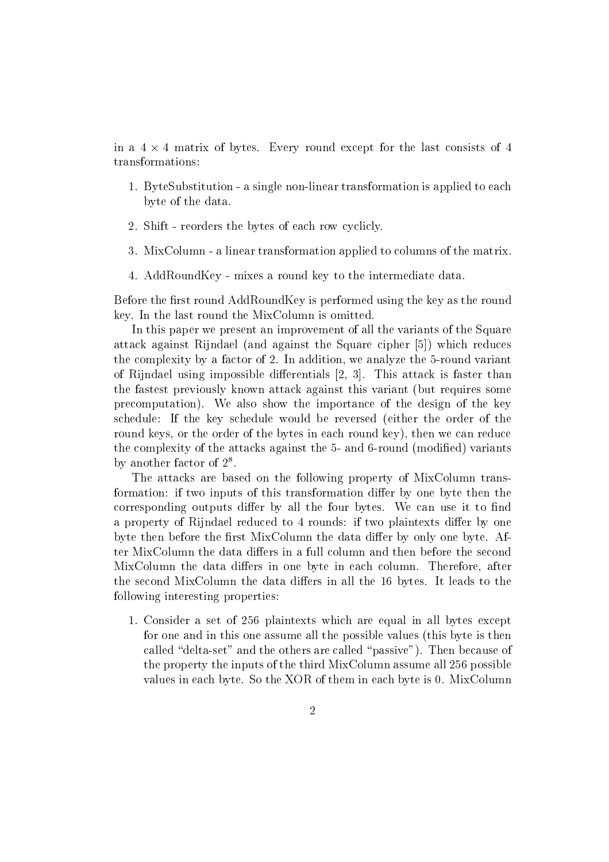in a 4 - 4 matrix of bytes. Every round except for the last consists of 4 transformations:

- 1. ByteSubstitution a single non-linear transformation is applied to each byte of the data.
- 2. Shift reorders the bytes of each row cyclicly.
- 3. MixColumn a linear transformation applied to columns of the matrix.
- 4. AddRoundKey mixes a round key to the intermediate data.

Before the first round AddRoundKey is performed using the key as the round key. In the last round the MixColumn is omitted.

In this paper we present an improvement of all the variants of the Square attack against Rijndael (and against the Square cipher [5]) which reduces the complexity by a factor of 2. In addition, we analyze the 5-round variant of Rijndael using impossible differentials  $[2, 3]$ . This attack is faster than the fastest previously known attack against this variant (but requires some precomputation). We also show the importance of the design of the key schedule: If the key schedule would be reversed (either the order of the round keys, or the order of the bytes in each round key), then we can reduce the complexity of the attacks against the 5- and 6-round (modified) variants by another factor of  $2^8$ .

The attacks are based on the following property of MixColumn transformation: if two inputs of this transformation differ by one byte then the corresponding outputs differ by all the four bytes. We can use it to find a property of Rijndael reduced to 4 rounds: if two plaintexts differ by one byte then before the first MixColumn the data differ by only one byte. After MixColumn the data differs in a full column and then before the second MixColumn the data differs in one byte in each column. Therefore, after the second MixColumn the data differs in all the 16 bytes. It leads to the following interesting properties:

1. Consider a set of 256 plaintexts which are equal in all bytes except for one and in this one assume all the possible values (this byte is then called "delta-set" and the others are called "passive"). Then because of the property the inputs of the third MixColumn assume all 256 possible values in each byte. So the XOR of them in each byte is 0. MixColumn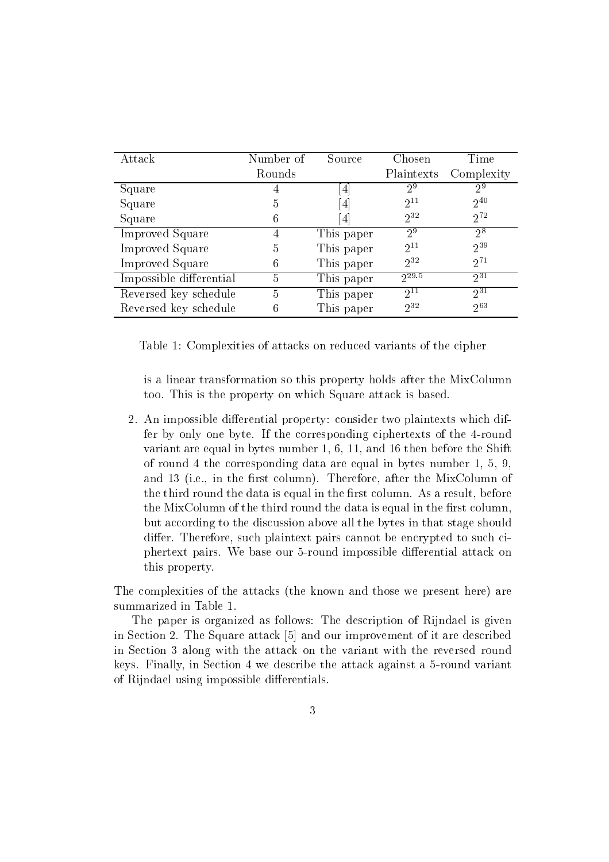| Attack                  | Number of | Source     | Chosen              | Time       |
|-------------------------|-----------|------------|---------------------|------------|
|                         | Rounds    |            | Plaintexts          | Complexity |
| Square                  |           |            | $2^9$               | $2^9$      |
| Square                  | h,        |            | $2^{11}$            | $2^{40}$   |
| Square                  | 6         |            | $2^{32}$            | $2^{72}$   |
| Improved Square         |           | This paper | $2^9$               | $2^8$      |
| Improved Square         | 5         | This paper | $2^{11}$            | $2^{39}$   |
| Improved Square         | 6         | This paper | $2^{32}$            | $2^{71}$   |
| Impossible differential | 5         | This paper | $2^{29.5}$          | $2^{31}$   |
| Reversed key schedule   | 5         | This paper | $2^{\overline{11}}$ | $2^{31}$   |
| Reversed key schedule   |           | This paper | $2^{32}$            | $2^{63}$   |

Table 1: Complexities of attacks on reduced variants of the cipher

is a linear transformation so this property holds after the MixColumn too. This is the property on which Square attack is based.

2. An impossible differential property: consider two plaintexts which differ by only one byte. If the corresponding ciphertexts of the 4-round variant are equal in bytes number 1, 6, 11, and 16 then before the Shift of round 4 the corresponding data are equal in bytes number 1, 5, 9, and 13 (i.e., in the first column). Therefore, after the MixColumn of the third round the data is equal in the first column. As a result, before the MixColumn of the third round the data is equal in the first column, but according to the discussion above all the bytes in that stage should differ. Therefore, such plaintext pairs cannot be encrypted to such ciphertext pairs. We base our 5-round impossible differential attack on this property.

The complexities of the attacks (the known and those we present here) are summarized in Table 1.

The paper is organized as follows: The description of Rijndael is given in Section 2. The Square attack [5] and our improvement of it are described in Section 3 along with the attack on the variant with the reversed round keys. Finally, in Section 4 we describe the attack against a 5-round variant of Rijndael using impossible differentials.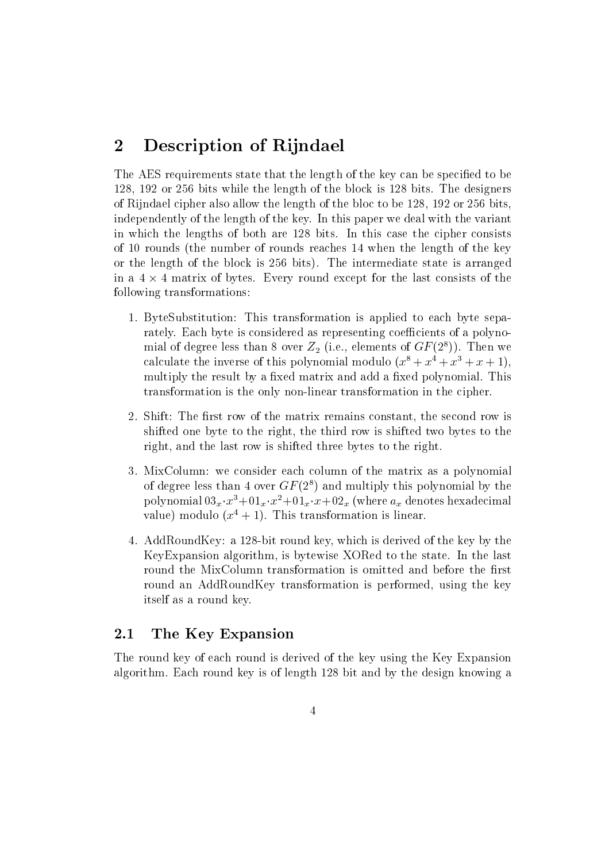## 2 Description of Rijndael

The AES requirements state that the length of the key can be specified to be 128, 192 or 256 bits while the length of the block is 128 bits. The designers of Rijndael cipher also allow the length of the bloc to be 128, 192 or 256 bits, independently of the length of the key. In this paper we deal with the variant in which the lengths of both are 128 bits. In this case the cipher consists of 10 rounds (the number of rounds reaches 14 when the length of the key or the length of the block is 256 bits). The intermediate state is arranged in a 4 - 4 matrix of bytes. Every round except for the last consists of the following transformations:

- 1. ByteSubstitution: This transformation is applied to each byte separately. Each byte is considered as representing coefficients of a polynomial of degree less than 8 over  $Z_2$  (i.e., elements of  $GF(2^8)$ ). Then we calculate the inverse of this polynomial modulo  $(x^8 + x^4 + x^3 + x + 1)$ , multiply the result by a fixed matrix and add a fixed polynomial. This transformation is the only non-linear transformation in the cipher.
- 2. Shift: The first row of the matrix remains constant, the second row is shifted one byte to the right, the third row is shifted two bytes to the right, and the last row is shifted three bytes to the right.
- 3. MixColumn: we consider each column of the matrix as a polynomial of degree less than 4 over  $GF(2^8)$  and multiply this polynomial by the polynomial  $03_x \cdot x^3 + 01_x \cdot x^2 + 01_x \cdot x + 02_x$  (where  $a_x$  denotes hexadecimal value) modulo  $(x^4 + 1)$ . This transformation is linear.
- 4. AddRoundKey: a 128-bit round key, which is derived of the key by the KeyExpansion algorithm, is bytewise XORed to the state. In the last round the MixColumn transformation is omitted and before the first round an AddRoundKey transformation is performed, using the key itself as a round key.

#### 2.1 The Key Expansion

The round key of each round is derived of the key using the Key Expansion algorithm. Each round key is of length 128 bit and by the design knowing a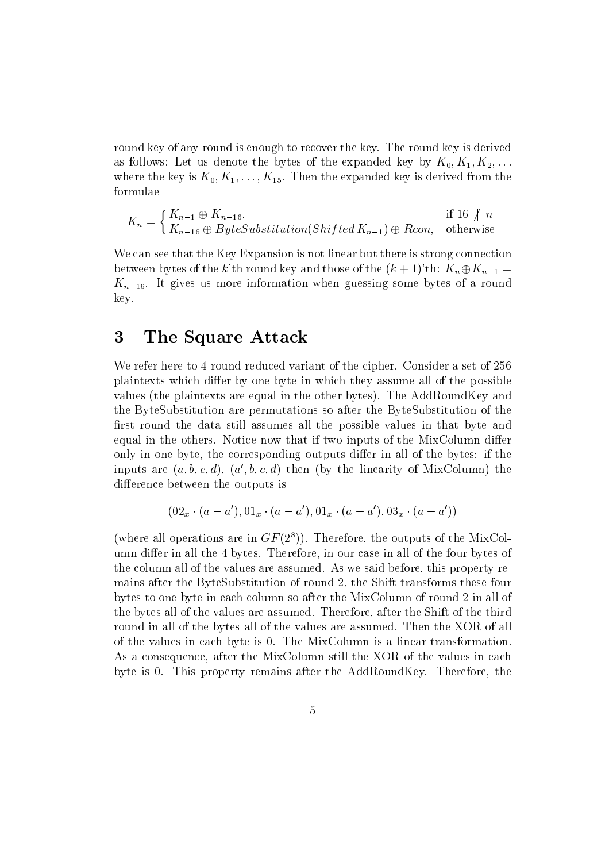round key of any round is enough to recover the key. The round key is derived as follows: Let us denote the bytes of the expanded key by  $K_0, K_1, K_2, \ldots$ where the key is  $K_0, K_1, \ldots, K_{15}$ . Then the expanded key is derived from the formulae

$$
K_n = \begin{cases} K_{n-1} \oplus K_{n-16}, & \text{if } 16 \nmid n \\ K_{n-16} \oplus ByteSubstitution(Shifted K_{n-1}) \oplus Rcon, & \text{otherwise} \end{cases}
$$

We can see that the Key Expansion is not linear but there is strong connection between bytes of the k'th round key and those of the  $(k + 1)$ 'th:  $K_n \oplus K_{n-1} =$  $K_{n-16}$ . It gives us more information when guessing some bytes of a round key.

## 3 The Square Attack

We refer here to 4-round reduced variant of the cipher. Consider a set of 256 plaintexts which differ by one byte in which they assume all of the possible values (the plaintexts are equal in the other bytes). The AddRoundKey and the ByteSubstitution are permutations so after the ByteSubstitution of the first round the data still assumes all the possible values in that byte and equal in the others. Notice now that if two inputs of the MixColumn differ only in one byte, the corresponding outputs differ in all of the bytes: if the inputs are  $(a, b, c, d)$ ,  $(a', b, c, d)$  then (by the linearity of MixColumn) the difference between the outputs is

$$
(02_x \cdot (a-a'),01_x \cdot (a-a'),01_x \cdot (a-a'),03_x \cdot (a-a'))
$$

(where all operations are in  $GF(2^8)$ ). Therefore, the outputs of the MixColumn differ in all the 4 bytes. Therefore, in our case in all of the four bytes of the column all of the values are assumed. As we said before, this property remains after the ByteSubstitution of round 2, the Shift transforms these four bytes to one byte in each column so after the MixColumn of round 2 in all of the bytes all of the values are assumed. Therefore, after the Shift of the third round in all of the bytes all of the values are assumed. Then the XOR of all of the values in each byte is 0. The MixColumn is a linear transformation. As a consequence, after the MixColumn still the XOR of the values in each byte is 0. This property remains after the AddRoundKey. Therefore, the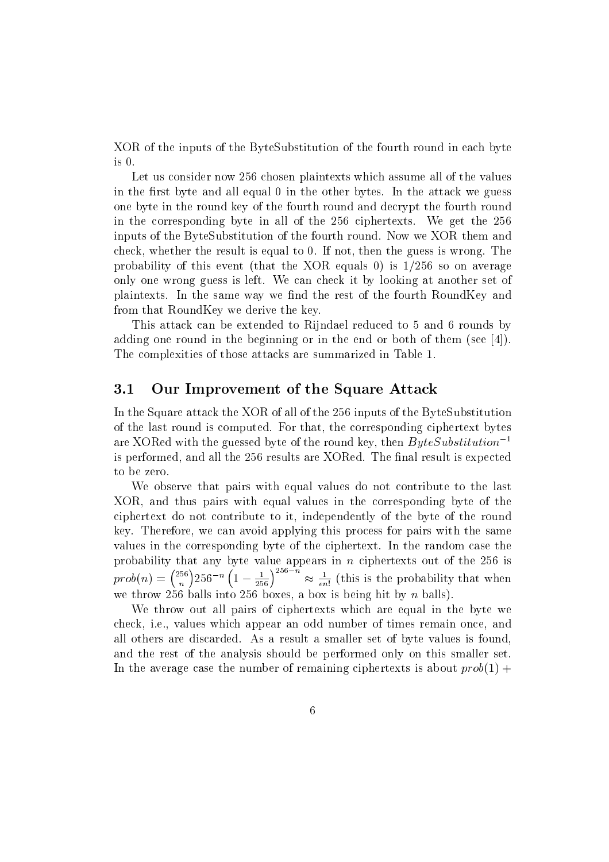XOR of the inputs of the ByteSubstitution of the fourth round in each byte is 0.

Let us consider now 256 chosen plaintexts which assume all of the values in the first byte and all equal  $\theta$  in the other bytes. In the attack we guess one byte in the round key of the fourth round and decrypt the fourth round in the corresponding byte in all of the 256 ciphertexts. We get the 256 inputs of the ByteSubstitution of the fourth round. Now we XOR them and check, whether the result is equal to 0. If not, then the guess is wrong. The probability of this event (that the XOR equals 0) is  $1/256$  so on average only one wrong guess is left. We can check it by looking at another set of plaintexts. In the same way we find the rest of the fourth RoundKey and from that RoundKey we derive the key.

This attack can be extended to Rijndael reduced to 5 and 6 rounds by adding one round in the beginning or in the end or both of them (see [4]). The complexities of those attacks are summarized in Table 1.

#### 3.1 Our Improvement of the Square Attack

In the Square attack the XOR of all of the 256 inputs of the ByteSubstitution of the last round is computed. For that, the corresponding ciphertext bytes are XORed with the guessed byte of the round key, then  $ByteSubstitution^{-1}$ is performed, and all the 256 results are XORed. The final result is expected to be zero.

We observe that pairs with equal values do not contribute to the last XOR, and thus pairs with equal values in the corresponding byte of the ciphertext do not contribute to it, independently of the byte of the round key. Therefore, we can avoid applying this process for pairs with the same values in the corresponding byte of the ciphertext. In the random case the  $prob(n) = {256 \choose n} 256^{-n} \left(1 - \frac{1}{256}\right)^{256-n} \approx \frac{1}{en!}$  (this is the probability that when we throw 256 balls into 256 boxes, a box is being hit by  $n$  balls).

We throw out all pairs of ciphertexts which are equal in the byte we check, i.e., values which appear an odd number of times remain once, and all others are discarded. As a result a smaller set of byte values is found, and the rest of the analysis should be performed only on this smaller set. In the average case the number of remaining ciphertexts is about  $prob(1)$  +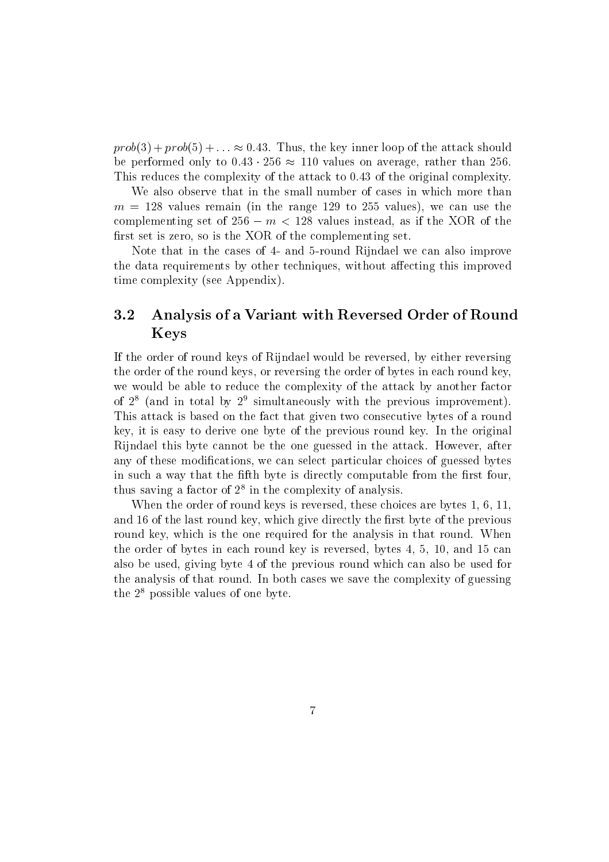$prob(3) + prob(5) + \ldots \approx 0.43$ . Thus, the key inner loop of the attack should be performed only to  $0.43 \cdot 256 \approx 110$  values on average, rather than 256. This reduces the complexity of the attack to 0.43 of the original complexity.

We also observe that in the small number of cases in which more than  $m = 128$  values remain (in the range 129 to 255 values), we can use the complementing set of  $256 - m < 128$  values instead, as if the XOR of the first set is zero, so is the XOR of the complementing set.

Note that in the cases of 4- and 5-round Rijndael we can also improve the data requirements by other techniques, without affecting this improved time complexity (see Appendix).

#### 3.2 Analysis of a Variant with Reversed Order of Round Keys

If the order of round keys of Rijndael would be reversed, by either reversing the order of the round keys, or reversing the order of bytes in each round key, we would be able to reduce the complexity of the attack by another factor of 2 (and in total by 2 simultaneously with the previous improvement). This attack is based on the fact that given two consecutive bytes of a round key, it is easy to derive one byte of the previous round key.In the original Rijndael this byte cannot be the one guessed in the attack. However, after any of these modications, we can select particular choices of guessed bytes in such a way that the fifth byte is directly computable from the first four, thus saving a factor of  $Z^*$  in the complexity of analysis.

When the order of round keys is reversed, these choices are bytes 1, 6, 11, and 16 of the last round key, which give directly the first byte of the previous round key, which is the one required for the analysis in that round. When the order of bytes in each round key is reversed, bytes 4, 5, 10, and 15 can also be used, giving byte 4 of the previous round which can also be used for the analysis of that round. In both cases we save the complexity of guessing the 2 <sup>8</sup> possible values of one byte.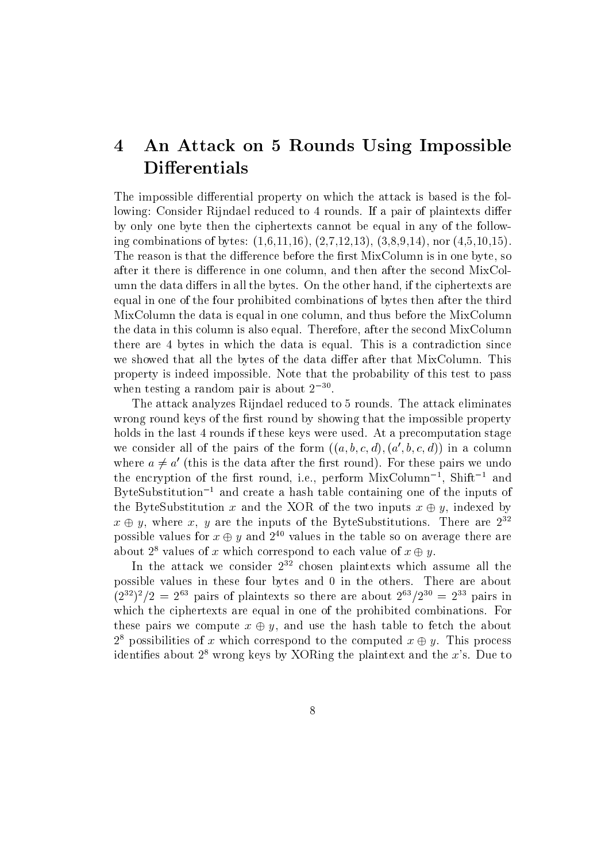# 4 An Attack on 5 Rounds Using Impossible Differentials

The impossible differential property on which the attack is based is the following: Consider Rijndael reduced to 4 rounds. If a pair of plaintexts differ by only one byte then the ciphertexts cannot be equal in any of the following combinations of bytes:  $(1,6,11,16)$ ,  $(2,7,12,13)$ ,  $(3,8,9,14)$ , nor  $(4,5,10,15)$ . The reason is that the difference before the first MixColumn is in one byte, so after it there is difference in one column, and then after the second MixColumn the data differs in all the bytes. On the other hand, if the ciphertexts are equal in one of the four prohibited combinations of bytes then after the third MixColumn the data is equal in one column, and thus before the MixColumn the data in this column is also equal. Therefore, after the second MixColumn there are 4 bytes in which the data is equal. This is a contradiction since we showed that all the bytes of the data differ after that MixColumn. This property is indeed impossible. Note that the probability of this test to pass when testing a random pair is about  $2<sup>33</sup>$ .

The attack analyzes Rijndael reduced to 5 rounds. The attack eliminates wrong round keys of the first round by showing that the impossible property holds in the last 4 rounds if these keys were used. At a precomputation stage we consider all of the pairs of the form  $((a, b, c, d), (a', b, c, d))$  in a column where  $a \neq a'$  (this is the data after the first round). For these pairs we undo the encryption of the hist round, i.e., periorm MixColumn - Shift - and the fo ByteSubstitution<sup>-1</sup> and create a hash table containing one of the inputs of the ByteSubstitution x and the XOR of the two inputs  $x \oplus y$ , indexed by  $x \oplus y$ , where x, y are the inputs of the ByteSubstitutions. There are  $2^{32}$ possible values for  $x \oplus y$  and  $2^{40}$  values in the table so on average there are about 2<sup>8</sup> values of x which correspond to each value of  $x \oplus y$ .<br>In the attack we consider 2<sup>32</sup> chosen plaintexts which assume all the

possible values in these four bytes and 0 in the others. There are about (233)  $Z^2$  = 233 pairs of plaintexts so there are about 263/230 = 233 pairs in which the ciphertexts are equal in one of the prohibited combinations. For these pairs we compute  $x \oplus y$ , and use the hash table to fetch the about  $2^8$  possibilities of x which correspond to the computed  $x \oplus y$ . This process identifies about  $2^8$  wrong keys by XORing the plaintext and the x's. Due to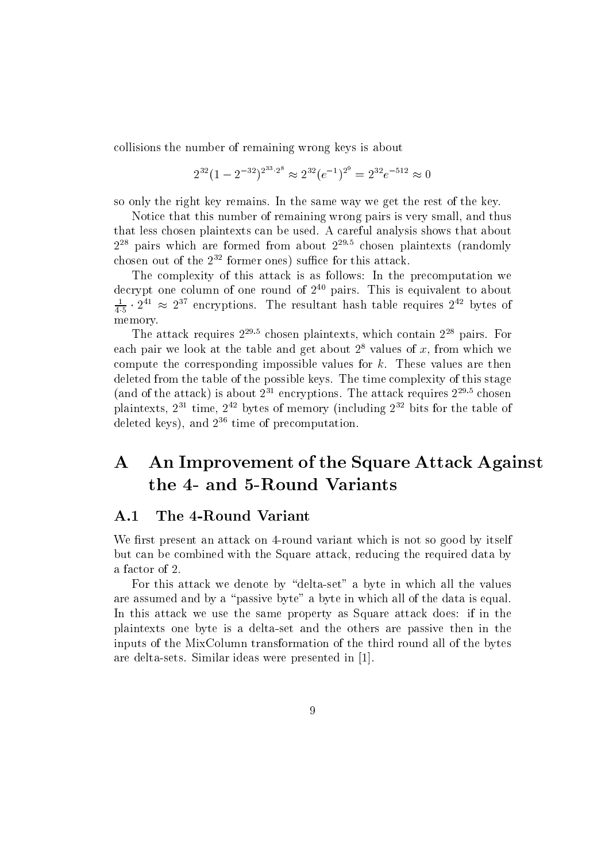collisions the number of remaining wrong keys is about

$$
2^{32}(1 - 2^{-32})^{2^{33} \cdot 2^8} \approx 2^{32}(e^{-1})^{2^9} = 2^{32}e^{-512} \approx 0
$$

so only the right key remains. In the same way we get the rest of the key.

Notice that this number of remaining wrong pairs is very small, and thus that less chosen plaintexts can be used. A careful analysis shows that about  $2^{28}$  pairs which are formed from about  $2^{29.5}$  chosen plaintexts (randomly  $\rm c$ nosen out of the  $\rm z$   $\rm \tau$  former ones) suffice for this attack.

The complexity of this attack is as follows: In the precomputation we decrypt one column of one round of  $2^{40}$  pairs. This is equivalent to about  $\div$   $\cdot$  2  $^{\circ}$   $\approx$  2  $^{\circ}$  encryptions. The resultant hash table requires 2  $^{\circ}$  bytes of memory.

The attack requires  $2^{29.5}$  chosen plaintexts, which contain  $2^{28}$  pairs. For each pair we look at the table and get about  $2^8$  values of x, from which we compute the corresponding impossible values for  $k$ . These values are then deleted from the table of the possible keys. The time complexity of this stage (and of the attack) is about 2<sup>33</sup> encryptions. The attack requires 2<sup>233</sup>: chosen plaintexts,  $2^{12}$  time,  $2^{12}$  bytes of memory (including  $2^{12}$  bits for the table of deleted keys), and  $2^{36}$  time of precomputation.

# A An Improvement of the Square Attack Against the 4- and 5-Round Variants

#### A.1 The 4-Round Variant

We first present an attack on 4-round variant which is not so good by itself but can be combined with the Square attack, reducing the required data by a factor of 2.

For this attack we denote by "delta-set" a byte in which all the values are assumed and by a "passive byte" a byte in which all of the data is equal. In this attack we use the same property as Square attack does: if in the plaintexts one byte is a delta-set and the others are passive then in the inputs of the MixColumn transformation of the third round all of the bytes are delta-sets. Similar ideas were presented in [1].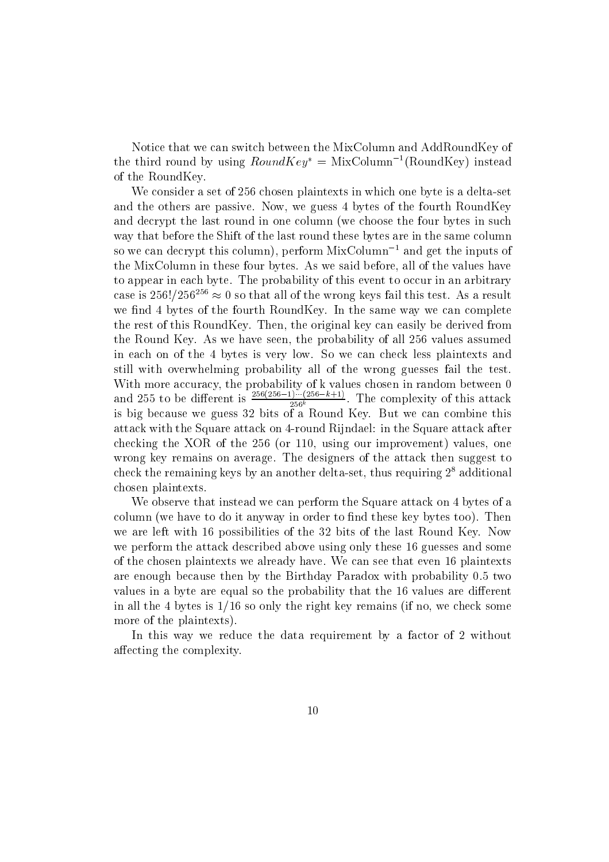Notice that we can switch between the MixColumn and AddRoundKey of the third round by using  $RoundKey^* = MixColumn^{-1}(RoundKey)$  instead of the RoundKey.

We consider a set of 256 chosen plaintexts in which one byte is a delta-set and the others are passive. Now, we guess 4 bytes of the fourth RoundKey and decrypt the last round in one column (we choose the four bytes in such way that before the Shift of the last round these bytes are in the same column so we can decrypt this column), perform  $MixColumn^{-1}$  and get the inputs of the MixColumn in these four bytes. As we said before, all of the values have to appear in each byte. The probability of this event to occur in an arbitrary case is  $256!/256^{256} \approx 0$  so that all of the wrong keys fail this test. As a result we find 4 bytes of the fourth RoundKey. In the same way we can complete the rest of this RoundKey. Then, the original key can easily be derived from the Round Key. As we have seen, the probability of all 256 values assumed in each on of the 4 bytes is very low. So we can check less plaintexts and still with overwhelming probability all of the wrong guesses fail the test. With more accuracy, the probability of k values chosen in random between 0 and 255 to be different is  $\frac{1}{256k}$  . The complexity of this attack is big because we guess 32 bits of a Round Key. But we can combine this attack with the Square attack on 4-round Rijndael: in the Square attack after checking the XOR of the 256 (or 110, using our improvement) values, one wrong key remains on average. The designers of the attack then suggest to check the remaining keys by an another delta-set, thus requiring  $2^8$  additional chosen plaintexts.

We observe that instead we can perform the Square attack on 4 bytes of a column (we have to do it anyway in order to find these key bytes too). Then we are left with 16 possibilities of the 32 bits of the last Round Key. Now we perform the attack described above using only these 16 guesses and some of the chosen plaintexts we already have. We can see that even 16 plaintexts are enough because then by the Birthday Paradox with probability 0.5 two values in a byte are equal so the probability that the 16 values are different in all the 4 bytes is  $1/16$  so only the right key remains (if no, we check some more of the plaintexts).

In this way we reduce the data requirement by a factor of 2 without affecting the complexity.